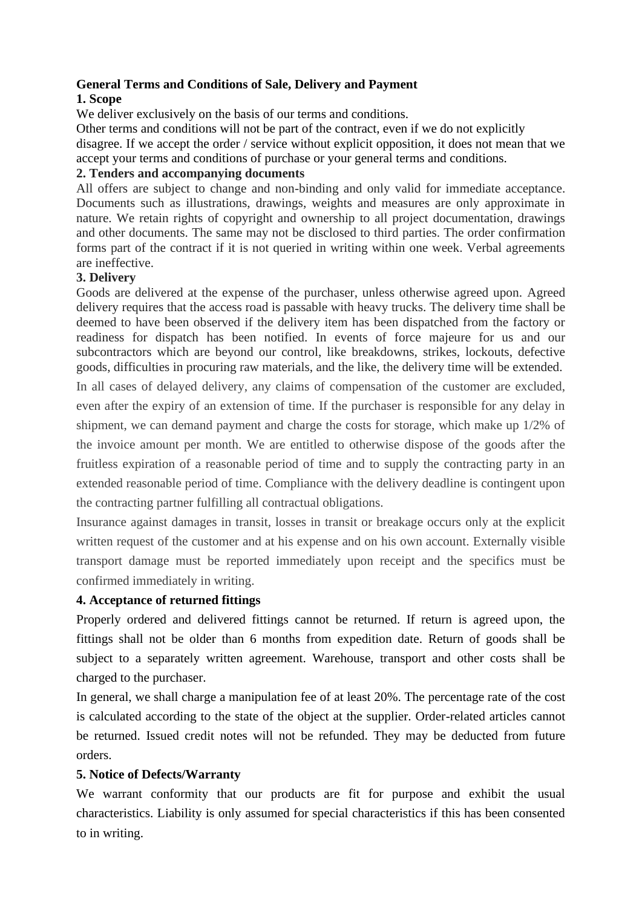# **General Terms and Conditions of Sale, Delivery and Payment**

## **1. Scope**

We deliver exclusively on the basis of our terms and conditions.

Other terms and conditions will not be part of the contract, even if we do not explicitly disagree. If we accept the order / service without explicit opposition, it does not mean that we accept your terms and conditions of purchase or your general terms and conditions.

## **2. Tenders and accompanying documents**

All offers are subject to change and non-binding and only valid for immediate acceptance. Documents such as illustrations, drawings, weights and measures are only approximate in nature. We retain rights of copyright and ownership to all project documentation, drawings and other documents. The same may not be disclosed to third parties. The order confirmation forms part of the contract if it is not queried in writing within one week. Verbal agreements are ineffective.

## **3. Delivery**

Goods are delivered at the expense of the purchaser, unless otherwise agreed upon. Agreed delivery requires that the access road is passable with heavy trucks. The delivery time shall be deemed to have been observed if the delivery item has been dispatched from the factory or readiness for dispatch has been notified. In events of force majeure for us and our subcontractors which are beyond our control, like breakdowns, strikes, lockouts, defective goods, difficulties in procuring raw materials, and the like, the delivery time will be extended.

In all cases of delayed delivery, any claims of compensation of the customer are excluded, even after the expiry of an extension of time. If the purchaser is responsible for any delay in shipment, we can demand payment and charge the costs for storage, which make up 1/2% of the invoice amount per month. We are entitled to otherwise dispose of the goods after the fruitless expiration of a reasonable period of time and to supply the contracting party in an extended reasonable period of time. Compliance with the delivery deadline is contingent upon the contracting partner fulfilling all contractual obligations.

Insurance against damages in transit, losses in transit or breakage occurs only at the explicit written request of the customer and at his expense and on his own account. Externally visible transport damage must be reported immediately upon receipt and the specifics must be confirmed immediately in writing.

# **4. Acceptance of returned fittings**

Properly ordered and delivered fittings cannot be returned. If return is agreed upon, the fittings shall not be older than 6 months from expedition date. Return of goods shall be subject to a separately written agreement. Warehouse, transport and other costs shall be charged to the purchaser.

In general, we shall charge a manipulation fee of at least 20%. The percentage rate of the cost is calculated according to the state of the object at the supplier. Order-related articles cannot be returned. Issued credit notes will not be refunded. They may be deducted from future orders.

# **5. Notice of Defects/Warranty**

We warrant conformity that our products are fit for purpose and exhibit the usual characteristics. Liability is only assumed for special characteristics if this has been consented to in writing.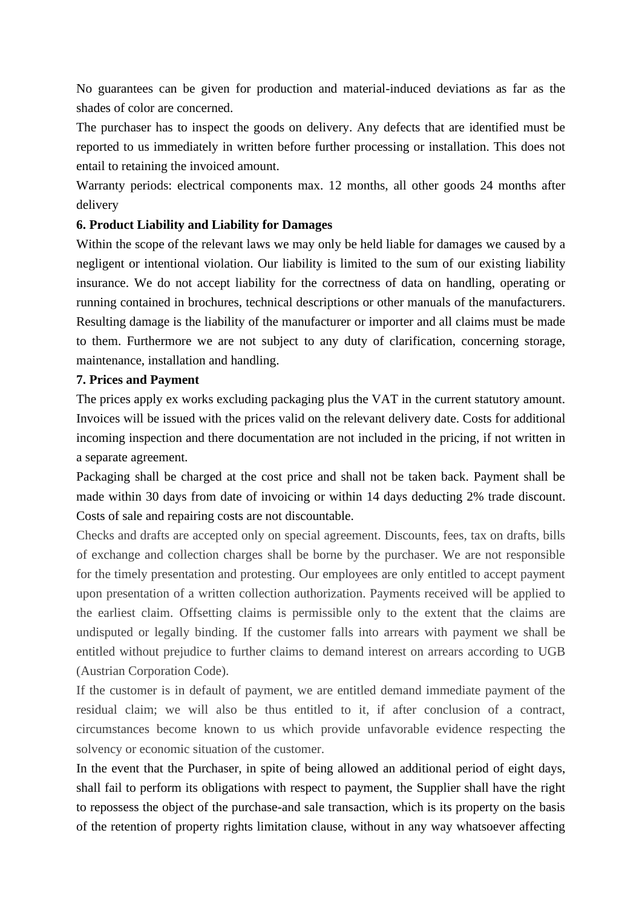No guarantees can be given for production and material-induced deviations as far as the shades of color are concerned.

The purchaser has to inspect the goods on delivery. Any defects that are identified must be reported to us immediately in written before further processing or installation. This does not entail to retaining the invoiced amount.

Warranty periods: electrical components max. 12 months, all other goods 24 months after delivery

## **6. Product Liability and Liability for Damages**

Within the scope of the relevant laws we may only be held liable for damages we caused by a negligent or intentional violation. Our liability is limited to the sum of our existing liability insurance. We do not accept liability for the correctness of data on handling, operating or running contained in brochures, technical descriptions or other manuals of the manufacturers. Resulting damage is the liability of the manufacturer or importer and all claims must be made to them. Furthermore we are not subject to any duty of clarification, concerning storage, maintenance, installation and handling.

#### **7. Prices and Payment**

The prices apply ex works excluding packaging plus the VAT in the current statutory amount. Invoices will be issued with the prices valid on the relevant delivery date. Costs for additional incoming inspection and there documentation are not included in the pricing, if not written in a separate agreement.

Packaging shall be charged at the cost price and shall not be taken back. Payment shall be made within 30 days from date of invoicing or within 14 days deducting 2% trade discount. Costs of sale and repairing costs are not discountable.

Checks and drafts are accepted only on special agreement. Discounts, fees, tax on drafts, bills of exchange and collection charges shall be borne by the purchaser. We are not responsible for the timely presentation and protesting. Our employees are only entitled to accept payment upon presentation of a written collection authorization. Payments received will be applied to the earliest claim. Offsetting claims is permissible only to the extent that the claims are undisputed or legally binding. If the customer falls into arrears with payment we shall be entitled without prejudice to further claims to demand interest on arrears according to UGB (Austrian Corporation Code).

If the customer is in default of payment, we are entitled demand immediate payment of the residual claim; we will also be thus entitled to it, if after conclusion of a contract, circumstances become known to us which provide unfavorable evidence respecting the solvency or economic situation of the customer.

In the event that the Purchaser, in spite of being allowed an additional period of eight days, shall fail to perform its obligations with respect to payment, the Supplier shall have the right to repossess the object of the purchase-and sale transaction, which is its property on the basis of the retention of property rights limitation clause, without in any way whatsoever affecting